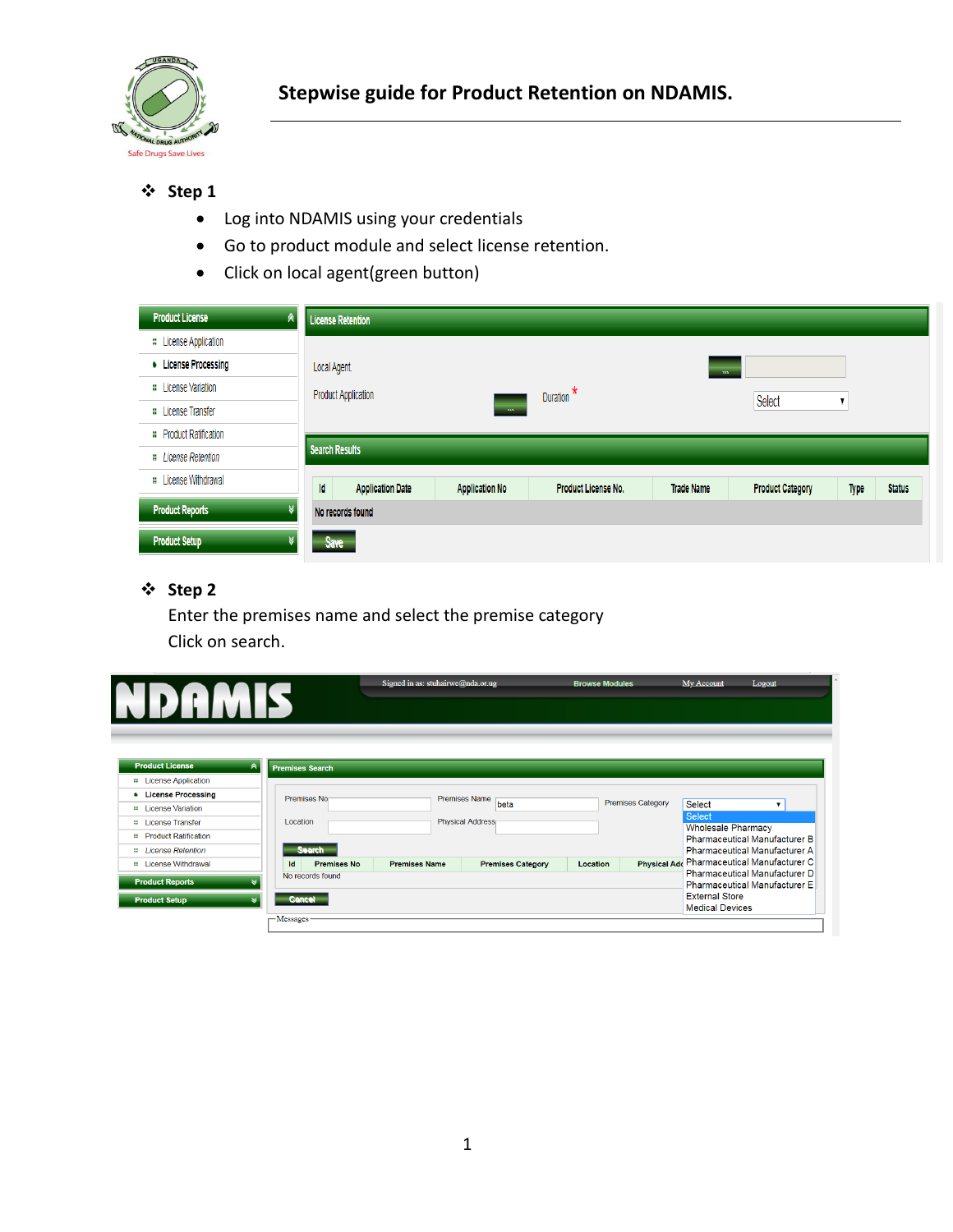

- Log into NDAMIS using your credentials
- Go to product module and select license retention.
- Click on local agent(green button)

| <b>Product License</b><br>R   | <b>License Retention</b>             |                       |                     |                   |                         |      |               |
|-------------------------------|--------------------------------------|-----------------------|---------------------|-------------------|-------------------------|------|---------------|
| <b>::</b> License Application |                                      |                       |                     |                   |                         |      |               |
| • License Processing          | Local Agent.                         |                       |                     | <b>CONTRACTOR</b> |                         |      |               |
| : License Variation           | <b>Product Application</b>           |                       | Duration $*$        |                   |                         |      |               |
| <b>::</b> License Transfer    |                                      | $-$ m $-$             |                     |                   | Select                  |      |               |
| :: Product Ratification       |                                      |                       |                     |                   |                         |      |               |
| : License Retention           | <b>Search Results</b>                |                       |                     |                   |                         |      |               |
| : License Withdrawal          | <b>Id</b><br><b>Application Date</b> | <b>Application No</b> | Product License No. | <b>Trade Name</b> | <b>Product Category</b> | Type | <b>Status</b> |
| <b>Product Reports</b>        | No records found                     |                       |                     |                   |                         |      |               |
| <b>Product Setup</b>          | Save                                 |                       |                     |                   |                         |      |               |

# **Step 2**

Enter the premises name and select the premise category Click on search.

|                                |                             | Signed in as: stuhairwe@nda.or.ug<br><b>Browse Modules</b> |                              |                 |                          | My Account<br>Logout                            |                                            |  |
|--------------------------------|-----------------------------|------------------------------------------------------------|------------------------------|-----------------|--------------------------|-------------------------------------------------|--------------------------------------------|--|
|                                |                             |                                                            |                              |                 |                          |                                                 |                                            |  |
|                                |                             |                                                            |                              |                 |                          |                                                 |                                            |  |
|                                |                             |                                                            |                              |                 |                          |                                                 |                                            |  |
| <b>Product License</b>         | ≪<br><b>Premises Search</b> |                                                            |                              |                 |                          |                                                 |                                            |  |
| <b>::</b> License Application  |                             |                                                            |                              |                 |                          |                                                 |                                            |  |
| <b>License Processing</b><br>٠ | Premises No                 |                                                            | <b>Premises Name</b><br>beta |                 | <b>Premises Category</b> | Select                                          |                                            |  |
| <b>::</b> License Variation    |                             |                                                            |                              |                 |                          |                                                 | $\overline{\mathbf{v}}$                    |  |
| <b>::</b> License Transfer     | Location                    |                                                            | <b>Physical Address</b>      |                 |                          | <b>Select</b><br><b>Wholesale Pharmacy</b>      |                                            |  |
| <b>::</b> Product Ratification |                             |                                                            |                              |                 |                          | <b>Pharmaceutical Manufacturer B</b>            |                                            |  |
| # License Retention            | <b>Search</b>               |                                                            |                              |                 |                          |                                                 | <b>Pharmaceutical Manufacturer A</b>       |  |
| <b>::</b> License Withdrawal   | <b>Premises No</b><br>Id    | <b>Premises Name</b>                                       | <b>Premises Category</b>     | <b>Location</b> |                          |                                                 | Physical Add Pharmaceutical Manufacturer C |  |
| <b>Product Reports</b>         | No records found            |                                                            |                              |                 |                          |                                                 | Pharmaceutical Manufacturer D              |  |
|                                |                             |                                                            |                              |                 |                          |                                                 | <b>Pharmaceutical Manufacturer E</b>       |  |
| <b>Product Setup</b>           | <b>Cancel</b>               |                                                            |                              |                 |                          | <b>External Store</b><br><b>Medical Devices</b> |                                            |  |
|                                |                             |                                                            |                              |                 |                          |                                                 |                                            |  |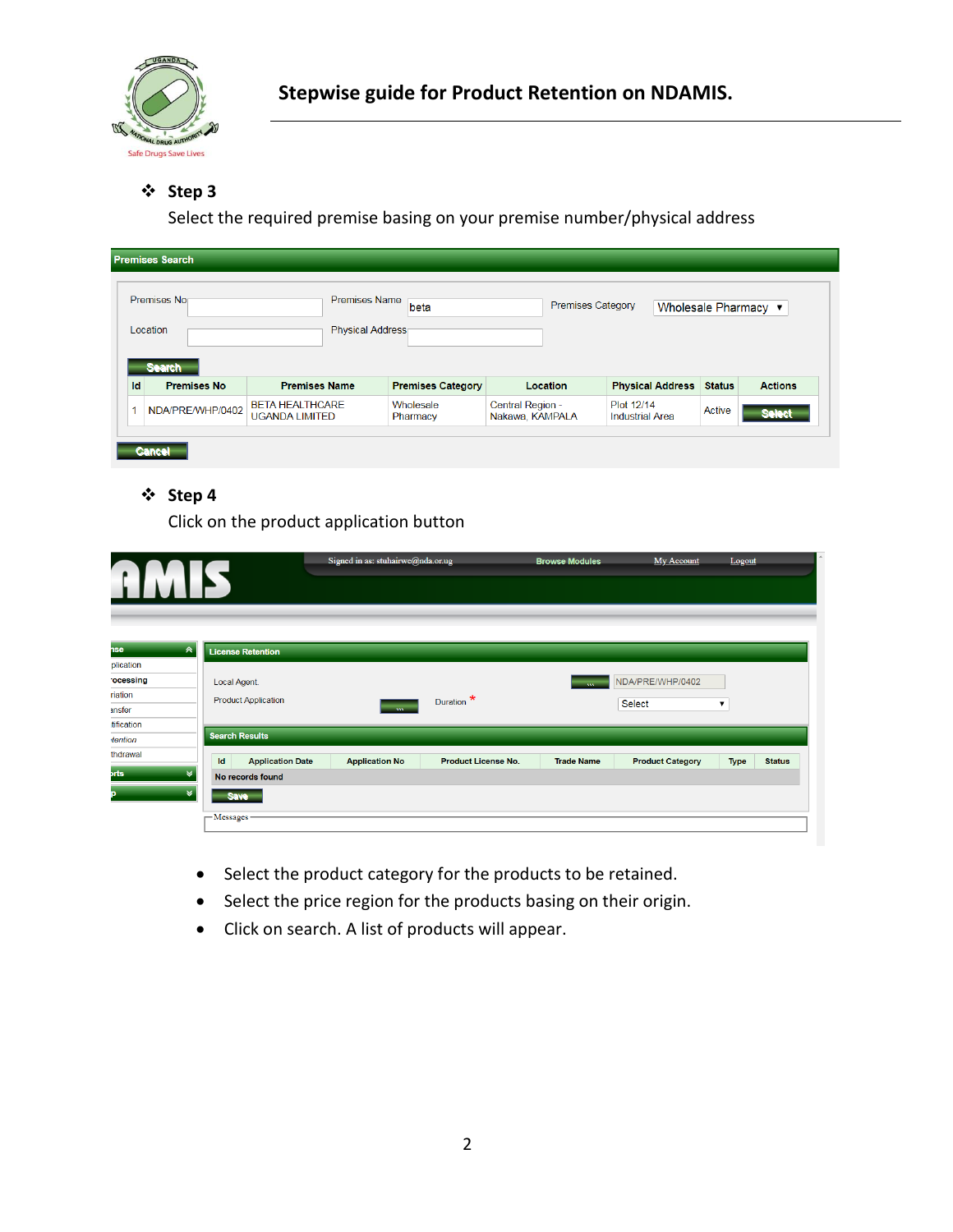

Select the required premise basing on your premise number/physical address

|    | <b>Premises Search</b>              |                      |                          |          |                          |                         |               |                |
|----|-------------------------------------|----------------------|--------------------------|----------|--------------------------|-------------------------|---------------|----------------|
|    | Premises Nor                        | <b>Premises Name</b> | beta                     |          | <b>Premises Category</b> | Wholesale Pharmacy ▼    |               |                |
|    | Location                            | Physical Address     |                          |          |                          |                         |               |                |
|    |                                     |                      |                          |          |                          |                         |               |                |
| Id | <b>Search</b><br><b>Premises No</b> | <b>Premises Name</b> | <b>Premises Category</b> | Location |                          | <b>Physical Address</b> | <b>Status</b> | <b>Actions</b> |

# **Step 4**

Click on the product application button

|                                   |                               | Signed in as: stuhairwe@nda.or.ug |                            | <b>Browse Modules</b> | My Account              | Logout                       |  |
|-----------------------------------|-------------------------------|-----------------------------------|----------------------------|-----------------------|-------------------------|------------------------------|--|
|                                   |                               |                                   |                            |                       |                         |                              |  |
|                                   |                               |                                   |                            |                       |                         |                              |  |
|                                   |                               |                                   |                            |                       |                         |                              |  |
| $\hat{\mathcal{R}}$<br><b>nse</b> | <b>License Retention</b>      |                                   |                            |                       |                         |                              |  |
| plication                         |                               |                                   |                            |                       |                         |                              |  |
| ocessing                          | Local Agent.                  |                                   |                            | <b>SAV</b>            | NDA/PRE/WHP/0402        |                              |  |
| riation                           | <b>Product Application</b>    |                                   | Duration $\star$           |                       |                         |                              |  |
| ansfer                            |                               | <b>SAMP</b>                       |                            |                       | <b>Select</b>           | ▼                            |  |
| tification                        |                               |                                   |                            |                       |                         |                              |  |
| tention                           | <b>Search Results</b>         |                                   |                            |                       |                         |                              |  |
| thdrawal                          | Id<br><b>Application Date</b> | <b>Application No</b>             | <b>Product License No.</b> | <b>Trade Name</b>     | <b>Product Category</b> | <b>Type</b><br><b>Status</b> |  |
| <b>brts</b><br>$\vee$             | No records found              |                                   |                            |                       |                         |                              |  |
| ₩                                 | Save-                         |                                   |                            |                       |                         |                              |  |
|                                   | $-$ Messages                  |                                   |                            |                       |                         |                              |  |
|                                   |                               |                                   |                            |                       |                         |                              |  |

- Select the product category for the products to be retained.
- Select the price region for the products basing on their origin.
- Click on search. A list of products will appear.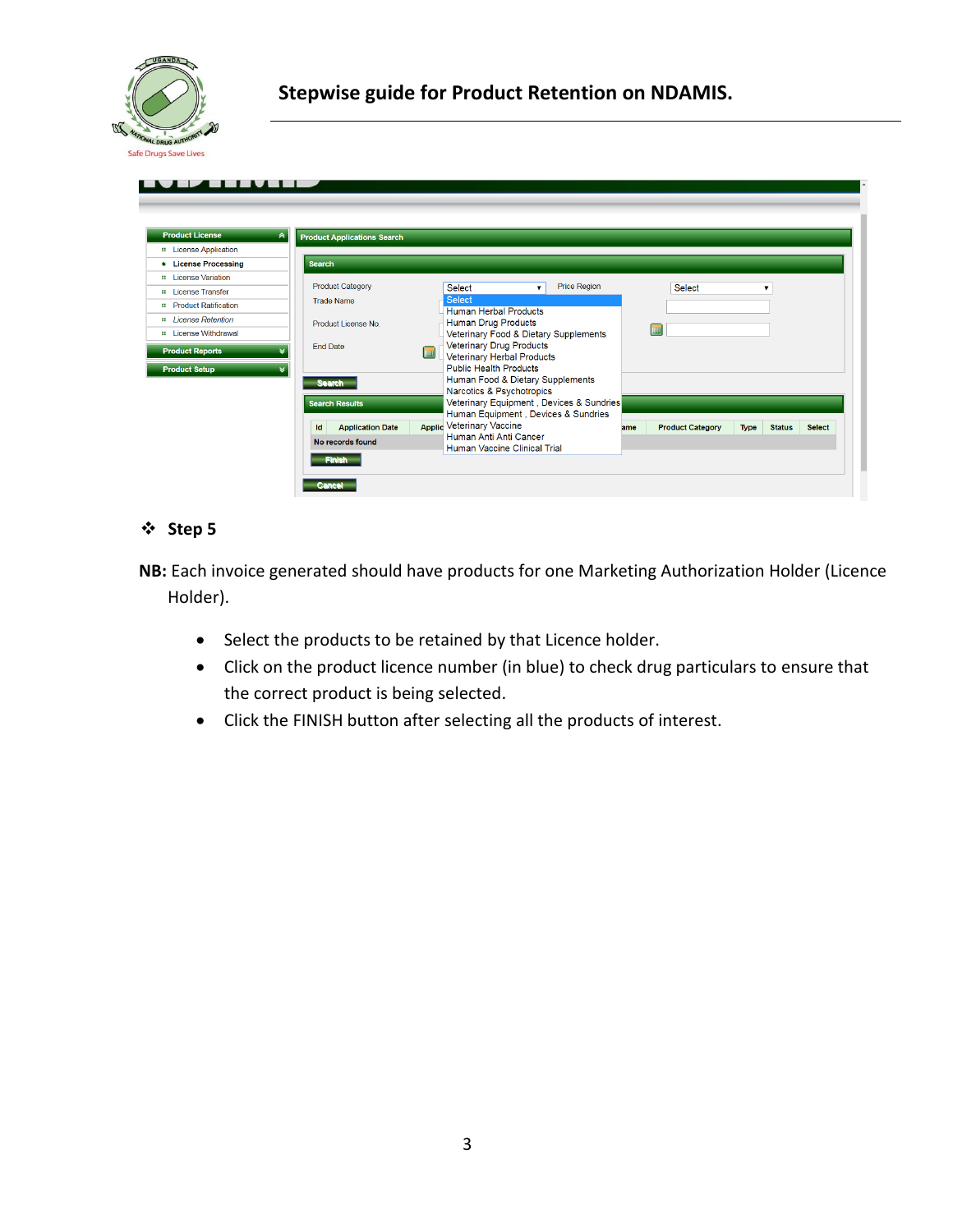

| <b>Product License</b>                         | ⊼<br><b>Product Applications Search</b> |            |                                                                                         |                    |                                                                                 |     |                         |             |               |               |
|------------------------------------------------|-----------------------------------------|------------|-----------------------------------------------------------------------------------------|--------------------|---------------------------------------------------------------------------------|-----|-------------------------|-------------|---------------|---------------|
| <b>::</b> License Application                  |                                         |            |                                                                                         |                    |                                                                                 |     |                         |             |               |               |
| • License Processing                           | <b>Search</b>                           |            |                                                                                         |                    |                                                                                 |     |                         |             |               |               |
| <b>::</b> License Variation                    |                                         |            |                                                                                         |                    |                                                                                 |     |                         |             |               |               |
| # License Transfer                             | <b>Product Category</b>                 |            | Select                                                                                  | $\pmb{\mathrm{v}}$ | <b>Price Region</b>                                                             |     | Select                  |             | ▼             |               |
| <b>::</b> Product Ratification                 | <b>Trade Name</b>                       |            | <b>Select</b><br><b>Human Herbal Products</b>                                           |                    |                                                                                 |     |                         |             |               |               |
| <b>::</b> License Retention                    | Product License No.                     |            | Human Drug Products                                                                     |                    |                                                                                 |     |                         |             |               |               |
| <b>::</b> License Withdrawal                   |                                         |            | Veterinary Food & Dietary Supplements                                                   |                    |                                                                                 |     | hm                      |             |               |               |
| <b>Product Reports</b><br><b>Product Setup</b> | <b>End Date</b>                         | <b>THE</b> | Veterinary Drug Products<br>Veterinary Herbal Products<br><b>Public Health Products</b> |                    |                                                                                 |     |                         |             |               |               |
|                                                | <b>Search</b>                           |            | Human Food & Dietary Supplements<br>Narcotics & Psychotropics                           |                    |                                                                                 |     |                         |             |               |               |
|                                                | <b>Search Results</b>                   |            |                                                                                         |                    | Veterinary Equipment, Devices & Sundries<br>Human Equipment, Devices & Sundries |     |                         |             |               |               |
|                                                | <b>Application Date</b><br>Id           |            | <b>Applic Veterinary Vaccine</b>                                                        |                    |                                                                                 | ame | <b>Product Category</b> | <b>Type</b> | <b>Status</b> | <b>Select</b> |
|                                                | No records found                        |            | Human Anti Anti Cancer<br>Human Vaccine Clinical Trial                                  |                    |                                                                                 |     |                         |             |               |               |

**NB:** Each invoice generated should have products for one Marketing Authorization Holder (Licence Holder).

- Select the products to be retained by that Licence holder.
- Click on the product licence number (in blue) to check drug particulars to ensure that the correct product is being selected.
- Click the FINISH button after selecting all the products of interest.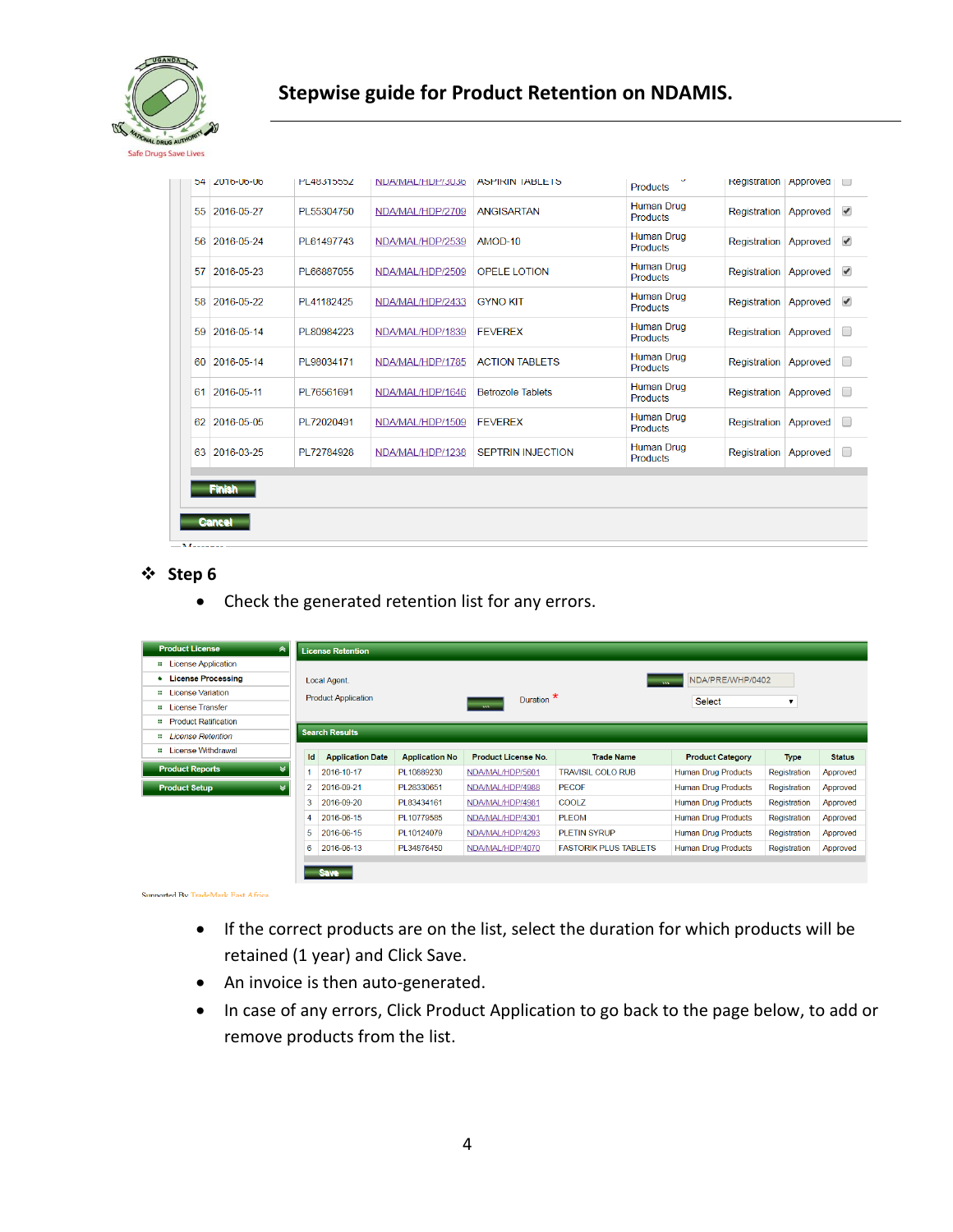

# **Stepwise guide for Product Retention on NDAMIS.**

| 54 I | <b>ZU10-U0-U0</b> | PL4831555Z  | NUA/MAL/HUP/3036 | <b>ASPIRIN IABLETS</b>   | <b>Products</b>                      | Registration   Approved      |          | $\Box$                   |
|------|-------------------|-------------|------------------|--------------------------|--------------------------------------|------------------------------|----------|--------------------------|
|      | 55 2016-05-27     | PL55304750  | NDA/MAL/HDP/2709 | <b>ANGISARTAN</b>        | <b>Human Drug</b><br><b>Products</b> | Registration                 | Approved | $\overline{\mathcal{L}}$ |
|      | 56 2016-05-24     | PL61497743  | NDA/MAL/HDP/2539 | AMOD-10                  | <b>Human Drug</b><br><b>Products</b> | Registration                 | Approved | $\overline{\mathscr{A}}$ |
| 57   | 2016-05-23        | PI 66887055 | NDA/MAL/HDP/2509 | OPELE LOTION             | <b>Human Drug</b><br><b>Products</b> | Registration                 | Approved | $\overline{\mathcal{L}}$ |
|      | 58 2016-05-22     | PL41182425  | NDA/MAL/HDP/2433 | <b>GYNO KIT</b>          | <b>Human Drug</b><br><b>Products</b> | Registration                 | Approved | $\overline{\mathcal{L}}$ |
| 59   | 2016-05-14        | PL80984223  | NDA/MAL/HDP/1839 | <b>FEVEREX</b>           | <b>Human Drug</b><br><b>Products</b> | <b>Registration Approved</b> |          | □                        |
| 60   | 2016-05-14        | PL98034171  | NDA/MAL/HDP/1785 | <b>ACTION TABLETS</b>    | Human Drug<br><b>Products</b>        | Registration   Approved      |          | □                        |
| 61   | 2016-05-11        | PL76561691  | NDA/MAL/HDP/1646 | <b>Betrozole Tablets</b> | <b>Human Drug</b><br><b>Products</b> | Registration                 | Approved | $\Box$                   |
| 62   | 2016-05-05        | PL72020491  | NDA/MAL/HDP/1509 | <b>FEVEREX</b>           | <b>Human Drug</b><br><b>Products</b> | Registration                 | Approved | $\Box$                   |
| 63   | 2016-03-25        | PL72784928  | NDA/MAL/HDP/1238 | <b>SEPTRIN INJECTION</b> | <b>Human Drug</b><br><b>Products</b> | Registration   Approved      |          | $\Box$                   |

### **Step 6**

Check the generated retention list for any errors.

| <b>Product License</b><br>∧    |                | <b>License Retention</b>             |                       |                            |                              |                            |              |               |  |
|--------------------------------|----------------|--------------------------------------|-----------------------|----------------------------|------------------------------|----------------------------|--------------|---------------|--|
| : License Application          |                |                                      |                       |                            |                              |                            |              |               |  |
| <b>License Processing</b><br>٠ |                | Local Agent.                         |                       |                            | ASS.                         | NDA/PRE/WHP/0402           |              |               |  |
| <b>::</b> License Variation    |                | <b>Product Application</b>           |                       | Duration *                 |                              |                            |              |               |  |
| <b>::</b> License Transfer     |                |                                      |                       | <b>AW</b>                  |                              | <b>Select</b>              | ▼            |               |  |
| <b>::</b> Product Ratification |                |                                      |                       |                            |                              |                            |              |               |  |
| <b>ELicense Retention</b>      |                | <b>Search Results</b>                |                       |                            |                              |                            |              |               |  |
| <b>License Withdrawal</b><br>× |                | <b>Id</b><br><b>Application Date</b> | <b>Application No</b> | <b>Product License No.</b> | <b>Trade Name</b>            | <b>Product Category</b>    | <b>Type</b>  | <b>Status</b> |  |
| <b>Product Reports</b>         | 1              | 2016-10-17                           | PL10889230            | NDA/MAL/HDP/5601           | <b>TRAVISIL COLO RUB</b>     | <b>Human Drug Products</b> | Registration | Approved      |  |
| <b>Product Setup</b>           | $\overline{2}$ | 2016-09-21                           | PL28330651            | NDA/MAL/HDP/4988           | <b>PECOF</b>                 | <b>Human Drug Products</b> | Registration | Approved      |  |
|                                | 3              | 2016-09-20                           | PL83434161            | NDA/MAL/HDP/4981           | COOLZ                        | <b>Human Drug Products</b> | Registration | Approved      |  |
|                                | 4              | 2016-06-15                           | PL10779585            | NDA/MAL/HDP/4301           | <b>PLEOM</b>                 | <b>Human Drug Products</b> | Registration | Approved      |  |
|                                | 5              | 2016-06-15                           | PL10124079            | NDA/MAL/HDP/4293           | <b>PLETIN SYRUP</b>          | <b>Human Drug Products</b> | Registration | Approved      |  |
|                                | 6              | 2016-06-13                           | PL34876450            | NDA/MAL/HDP/4070           | <b>FASTORIK PLUS TABLETS</b> | <b>Human Drug Products</b> | Registration | Approved      |  |
|                                |                | <b>Save</b>                          |                       |                            |                              |                            |              |               |  |

Sunnorted By TradeMark East Africa

- If the correct products are on the list, select the duration for which products will be retained (1 year) and Click Save.
- An invoice is then auto-generated.
- In case of any errors, Click Product Application to go back to the page below, to add or remove products from the list.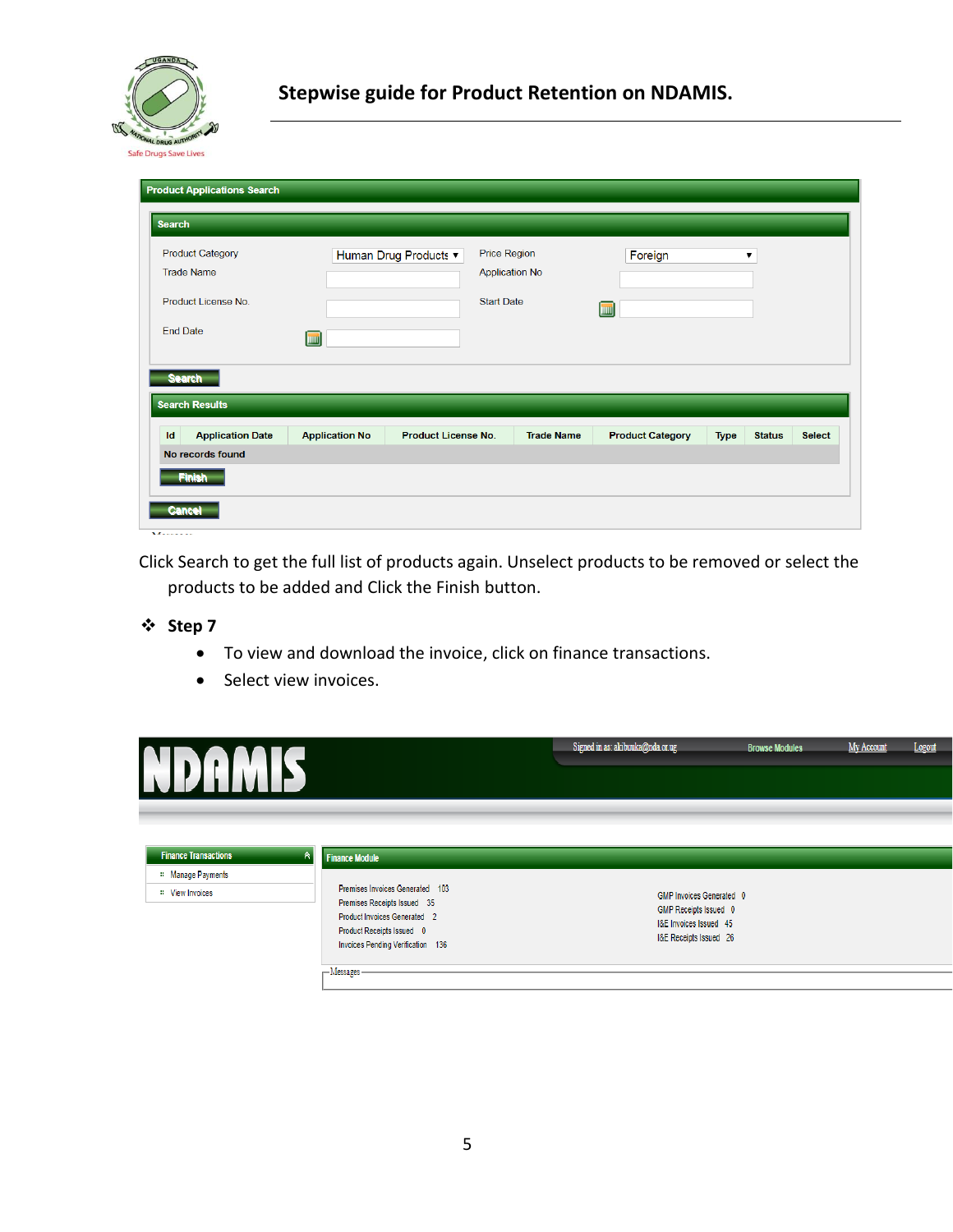

| <b>Product Applications Search</b>           |                       |                                                                       |                   |                         |                      |               |               |
|----------------------------------------------|-----------------------|-----------------------------------------------------------------------|-------------------|-------------------------|----------------------|---------------|---------------|
| <b>Search</b>                                |                       |                                                                       |                   |                         |                      |               |               |
| <b>Product Category</b><br><b>Trade Name</b> |                       | <b>Price Region</b><br>Human Drug Products ▼<br><b>Application No</b> |                   | Foreign                 | $\blacktriangledown$ |               |               |
| Product License No.                          |                       | <b>Start Date</b>                                                     |                   | m                       |                      |               |               |
| <b>End Date</b>                              | <b>THE</b>            |                                                                       |                   |                         |                      |               |               |
| <b>Search</b>                                |                       |                                                                       |                   |                         |                      |               |               |
| <b>Search Results</b>                        |                       |                                                                       |                   |                         |                      |               |               |
| Id<br><b>Application Date</b>                | <b>Application No</b> | <b>Product License No.</b>                                            | <b>Trade Name</b> | <b>Product Category</b> | <b>Type</b>          | <b>Status</b> | <b>Select</b> |
| No records found                             |                       |                                                                       |                   |                         |                      |               |               |
| <b>Finish</b>                                |                       |                                                                       |                   |                         |                      |               |               |
| <b>Cancel</b>                                |                       |                                                                       |                   |                         |                      |               |               |

 $\overline{M}$ .......

Click Search to get the full list of products again. Unselect products to be removed or select the products to be added and Click the Finish button.

### **Step 7**

To view and download the invoice, click on finance transactions.

Premises Receipts Issued 35

Product Invoices Generated 2

• Select view invoices.



| Product invoices Generated Z<br>Product Receipts Issued 0<br>Invoices Pending Verification 136 | I&E Invoices Issued 45<br>I&E Receipts Issued 26 |
|------------------------------------------------------------------------------------------------|--------------------------------------------------|
| - Messages –                                                                                   |                                                  |
|                                                                                                |                                                  |
|                                                                                                |                                                  |
|                                                                                                |                                                  |
|                                                                                                |                                                  |

GMP Receipts Issued 0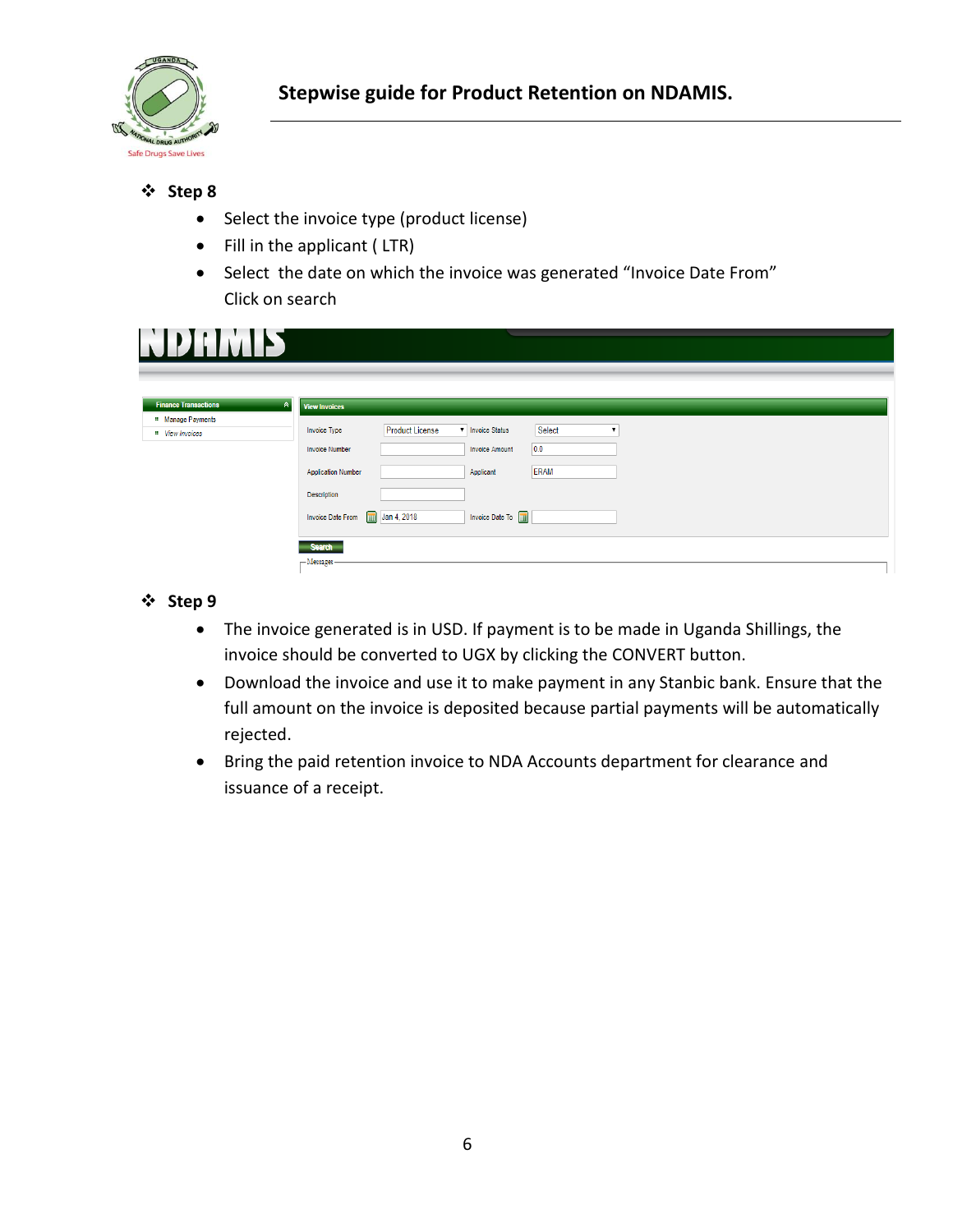

- Select the invoice type (product license)
- Fill in the applicant (LTR)
- Select the date on which the invoice was generated "Invoice Date From" Click on search

| EPIHAD                                          |                                                                                             |
|-------------------------------------------------|---------------------------------------------------------------------------------------------|
|                                                 |                                                                                             |
| <b>Finance Transactions</b><br>$\triangleright$ | <b>View Invoices</b>                                                                        |
| Manage Payments<br>" View Invoices              | Select<br><b>Product License</b><br><b>v</b> Invoice Status<br>Invoice Type<br>$\mathbf{v}$ |
|                                                 | 0.0 <br><b>Invoice Amount</b><br><b>Invoice Number</b>                                      |
|                                                 | <b>ERAM</b><br><b>Application Number</b><br>Applicant                                       |
|                                                 | Description                                                                                 |
|                                                 | Invoice Date To <b>m</b><br>$\boxed{m}$ Jan 4, 2018<br><b>Invoice Date From</b>             |
|                                                 |                                                                                             |
|                                                 | <b>Search</b>                                                                               |
|                                                 | $-M$ essages -                                                                              |

# **Step 9**

- The invoice generated is in USD. If payment is to be made in Uganda Shillings, the invoice should be converted to UGX by clicking the CONVERT button.
- Download the invoice and use it to make payment in any Stanbic bank. Ensure that the full amount on the invoice is deposited because partial payments will be automatically rejected.
- Bring the paid retention invoice to NDA Accounts department for clearance and issuance of a receipt.